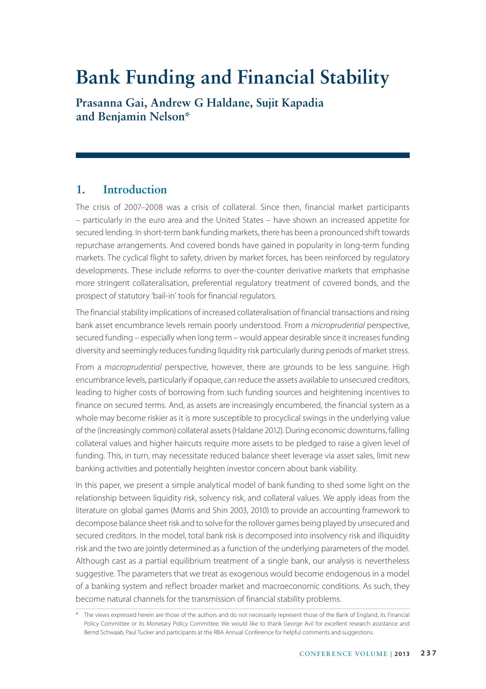# **Bank Funding and Financial Stability**

**Prasanna Gai, Andrew G Haldane, Sujit Kapadia and Benjamin Nelson\***

# **1. Introduction**

The crisis of 2007–2008 was a crisis of collateral. Since then, financial market participants – particularly in the euro area and the United States – have shown an increased appetite for secured lending. In short-term bank funding markets, there has been a pronounced shift towards repurchase arrangements. And covered bonds have gained in popularity in long-term funding markets. The cyclical flight to safety, driven by market forces, has been reinforced by regulatory developments. These include reforms to over-the-counter derivative markets that emphasise more stringent collateralisation, preferential regulatory treatment of covered bonds, and the prospect of statutory 'bail-in' tools for financial regulators.

The financial stability implications of increased collateralisation of financial transactions and rising bank asset encumbrance levels remain poorly understood. From a *microprudential* perspective, secured funding – especially when long term – would appear desirable since it increases funding diversity and seemingly reduces funding liquidity risk particularly during periods of market stress.

From a *macroprudential* perspective, however, there are grounds to be less sanguine. High encumbrance levels, particularly if opaque, can reduce the assets available to unsecured creditors, leading to higher costs of borrowing from such funding sources and heightening incentives to finance on secured terms. And, as assets are increasingly encumbered, the financial system as a whole may become riskier as it is more susceptible to procyclical swings in the underlying value of the (increasingly common) collateral assets (Haldane 2012). During economic downturns, falling collateral values and higher haircuts require more assets to be pledged to raise a given level of funding. This, in turn, may necessitate reduced balance sheet leverage via asset sales, limit new banking activities and potentially heighten investor concern about bank viability.

In this paper, we present a simple analytical model of bank funding to shed some light on the relationship between liquidity risk, solvency risk, and collateral values. We apply ideas from the literature on global games (Morris and Shin 2003, 2010) to provide an accounting framework to decompose balance sheet risk and to solve for the rollover games being played by unsecured and secured creditors. In the model, total bank risk is decomposed into insolvency risk and illiquidity risk and the two are jointly determined as a function of the underlying parameters of the model. Although cast as a partial equilibrium treatment of a single bank, our analysis is nevertheless suggestive. The parameters that we treat as exogenous would become endogenous in a model of a banking system and reflect broader market and macroeconomic conditions. As such, they become natural channels for the transmission of financial stability problems.

<sup>\*</sup> The views expressed herein are those of the authors and do not necessarily represent those of the Bank of England, its Financial Policy Committee or its Monetary Policy Committee. We would like to thank George Avil for excellent research assistance and Bernd Schwaab, Paul Tucker and participants at the RBA Annual Conference for helpful comments and suggestions.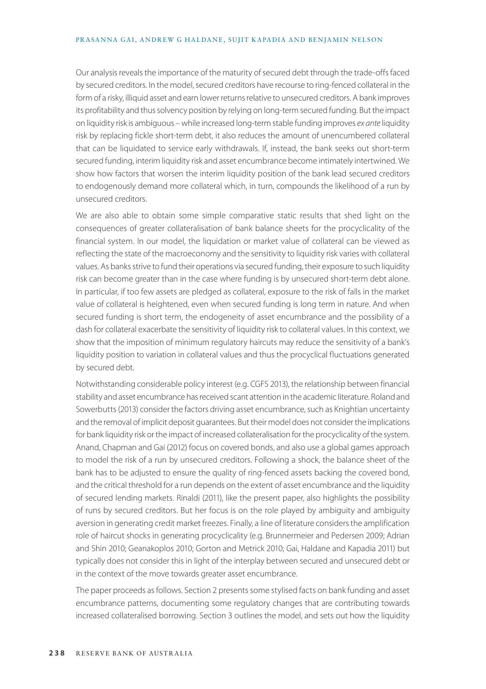Our analysis reveals the importance of the maturity of secured debt through the trade-offs faced by secured creditors. In the model, secured creditors have recourse to ring-fenced collateral in the form of a risky, illiquid asset and earn lower returns relative to unsecured creditors. A bank improves its profitability and thus solvency position by relying on long-term secured funding. But the impact on liquidity risk is ambiguous – while increased long-term stable funding improves *ex ante* liquidity risk by replacing fickle short-term debt, it also reduces the amount of unencumbered collateral that can be liquidated to service early withdrawals. If, instead, the bank seeks out short-term secured funding, interim liquidity risk and asset encumbrance become intimately intertwined. We show how factors that worsen the interim liquidity position of the bank lead secured creditors to endogenously demand more collateral which, in turn, compounds the likelihood of a run by unsecured creditors.

We are also able to obtain some simple comparative static results that shed light on the consequences of greater collateralisation of bank balance sheets for the procyclicality of the financial system. In our model, the liquidation or market value of collateral can be viewed as reflecting the state of the macroeconomy and the sensitivity to liquidity risk varies with collateral values. As banks strive to fund their operations via secured funding, their exposure to such liquidity risk can become greater than in the case where funding is by unsecured short-term debt alone. In particular, if too few assets are pledged as collateral, exposure to the risk of falls in the market value of collateral is heightened, even when secured funding is long term in nature. And when secured funding is short term, the endogeneity of asset encumbrance and the possibility of a dash for collateral exacerbate the sensitivity of liquidity risk to collateral values. In this context, we show that the imposition of minimum regulatory haircuts may reduce the sensitivity of a bank's liquidity position to variation in collateral values and thus the procyclical fluctuations generated by secured debt.

Notwithstanding considerable policy interest (e.g. CGFS 2013), the relationship between financial stability and asset encumbrance has received scant attention in the academic literature. Roland and Sowerbutts (2013) consider the factors driving asset encumbrance, such as Knightian uncertainty and the removal of implicit deposit guarantees. But their model does not consider the implications for bank liquidity risk or the impact of increased collateralisation for the procyclicality of the system. Anand, Chapman and Gai (2012) focus on covered bonds, and also use a global games approach to model the risk of a run by unsecured creditors. Following a shock, the balance sheet of the bank has to be adjusted to ensure the quality of ring-fenced assets backing the covered bond, and the critical threshold for a run depends on the extent of asset encumbrance and the liquidity of secured lending markets. Rinaldi (2011), like the present paper, also highlights the possibility of runs by secured creditors. But her focus is on the role played by ambiguity and ambiguity aversion in generating credit market freezes. Finally, a line of literature considers the amplification role of haircut shocks in generating procyclicality (e.g. Brunnermeier and Pedersen 2009; Adrian and Shin 2010; Geanakoplos 2010; Gorton and Metrick 2010; Gai, Haldane and Kapadia 2011) but typically does not consider this in light of the interplay between secured and unsecured debt or in the context of the move towards greater asset encumbrance.

The paper proceeds as follows. Section 2 presents some stylised facts on bank funding and asset encumbrance patterns, documenting some regulatory changes that are contributing towards increased collateralised borrowing. Section 3 outlines the model, and sets out how the liquidity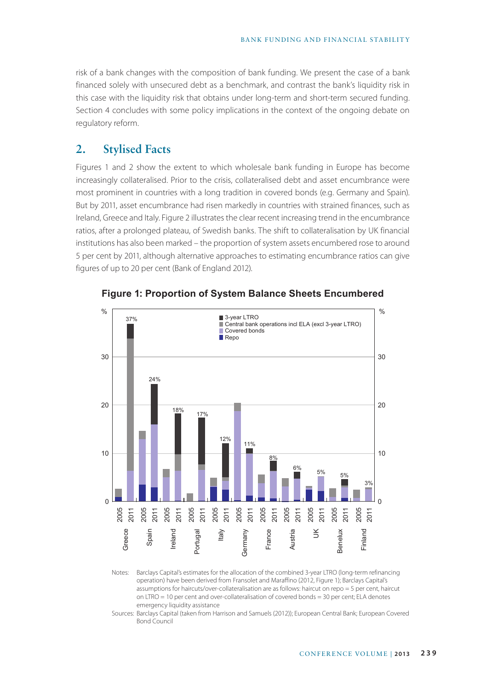risk of a bank changes with the composition of bank funding. We present the case of a bank financed solely with unsecured debt as a benchmark, and contrast the bank's liquidity risk in this case with the liquidity risk that obtains under long-term and short-term secured funding. Section 4 concludes with some policy implications in the context of the ongoing debate on regulatory reform.

# **2. Stylised Facts**

Figures 1 and 2 show the extent to which wholesale bank funding in Europe has become increasingly collateralised. Prior to the crisis, collateralised debt and asset encumbrance were most prominent in countries with a long tradition in covered bonds (e.g. Germany and Spain). But by 2011, asset encumbrance had risen markedly in countries with strained finances, such as Ireland, Greece and Italy. Figure 2 illustrates the clear recent increasing trend in the encumbrance ratios, after a prolonged plateau, of Swedish banks. The shift to collateralisation by UK financial institutions has also been marked – the proportion of system assets encumbered rose to around 5 per cent by 2011, although alternative approaches to estimating encumbrance ratios can give figures of up to 20 per cent (Bank of England 2012).



**Figure 1: Proportion of System Balance Sheets Encumbered**

Notes: Barclays Capital's estimates for the allocation of the combined 3-year LTRO (long-term refinancing operation) have been derived from Fransolet and Maraffino (2012, Figure 1); Barclays Capital's assumptions for haircuts/over-collateralisation are as follows: haircut on repo = 5 per cent, haircut on LTRO = 10 per cent and over-collateralisation of covered bonds = 30 per cent; ELA denotes emergency liquidity assistance

Sources: Barclays Capital (taken from Harrison and Samuels (2012)); European Central Bank; European Covered Bond Council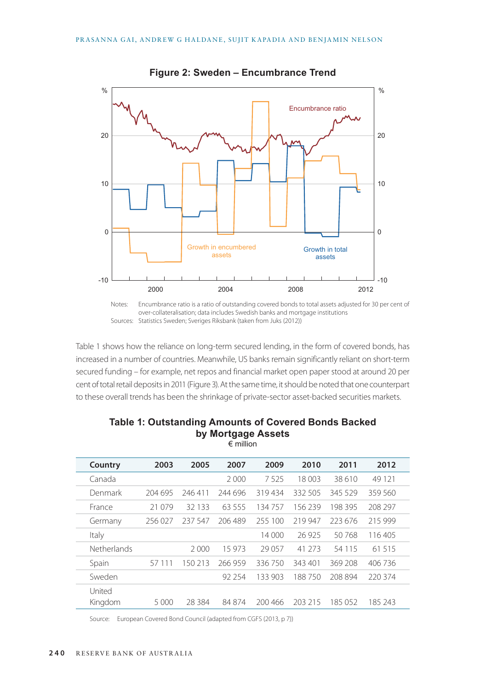

**Figure 2: Sweden – Encumbrance Trend**

Notes: Encumbrance ratio is a ratio of outstanding covered bonds to total assets adjusted for 30 per cent of over-collateralisation; data includes Swedish banks and mortgage institutions Sources: Statistics Sweden; Sveriges Riksbank (taken from Juks (2012))

Table 1 shows how the reliance on long-term secured lending, in the form of covered bonds, has increased in a number of countries. Meanwhile, US banks remain significantly reliant on short-term secured funding – for example, net repos and financial market open paper stood at around 20 per cent of total retail deposits in 2011 (Figure 3). At the same time, it should be noted that one counterpart to these overall trends has been the shrinkage of private-sector asset-backed securities markets.

| Country            | 2003    | 2005    | 2007    | 2009    | 2010    | 2011     | 2012    |  |
|--------------------|---------|---------|---------|---------|---------|----------|---------|--|
| Canada             |         |         | 2000    | 7525    | 18 003  | 38610    | 49 1 21 |  |
| Denmark            | 204 695 | 246411  | 244 696 | 319434  | 332 505 | 345 529  | 359 560 |  |
| France             | 21 079  | 32 133  | 63 555  | 134757  | 156239  | 198 395  | 208 297 |  |
| Germany            | 256027  | 237 547 | 206489  | 255 100 | 219 947 | 223 676  | 215 999 |  |
| Italy              |         |         |         | 14 000  | 26 925  | 50768    | 116405  |  |
| <b>Netherlands</b> |         | 2000    | 15 973  | 29 057  | 41 273  | 54 1 1 5 | 61 515  |  |
| Spain              | 57 111  | 150 213 | 266959  | 336750  | 343 401 | 369 208  | 406 736 |  |
| Sweden             |         |         | 92 254  | 133 903 | 188750  | 208 894  | 220 374 |  |
| United<br>Kingdom  | 5 000   | 28.384  | 84 874  | 200 466 | 203 215 | 185 052  | 185 243 |  |

### **Table 1: Outstanding Amounts of Covered Bonds Backed by Mortgage Assets** € million

Source: European Covered Bond Council (adapted from CGFS (2013, p 7))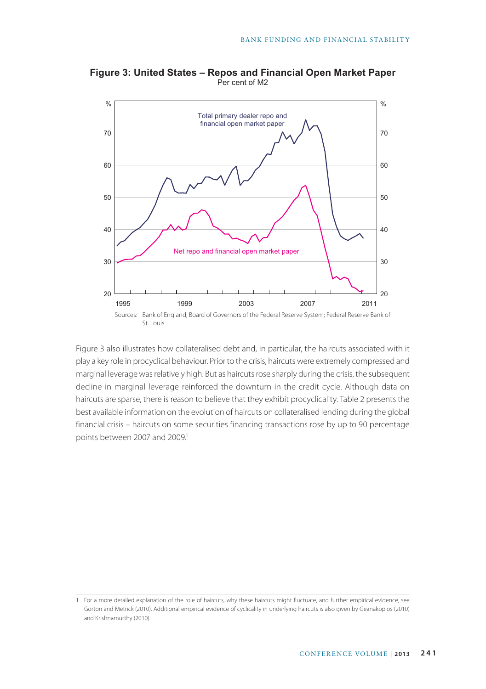

**Figure 3: United States – Repos and Financial Open Market Paper** Per cent of M2

Figure 3 also illustrates how collateralised debt and, in particular, the haircuts associated with it play a key role in procyclical behaviour. Prior to the crisis, haircuts were extremely compressed and marginal leverage was relatively high. But as haircuts rose sharply during the crisis, the subsequent decline in marginal leverage reinforced the downturn in the credit cycle. Although data on haircuts are sparse, there is reason to believe that they exhibit procyclicality. Table 2 presents the best available information on the evolution of haircuts on collateralised lending during the global financial crisis – haircuts on some securities financing transactions rose by up to 90 percentage points between 2007 and 2009.<sup>1</sup>

<sup>1</sup> For a more detailed explanation of the role of haircuts, why these haircuts might fluctuate, and further empirical evidence, see Gorton and Metrick (2010). Additional empirical evidence of cyclicality in underlying haircuts is also given by Geanakoplos (2010) and Krishnamurthy (2010).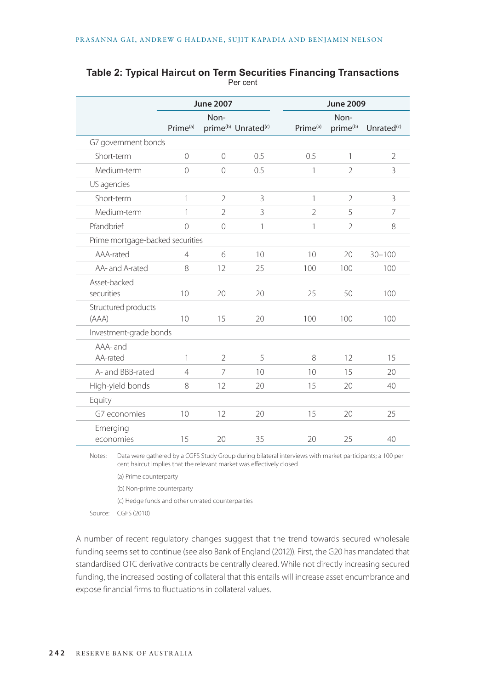|                                  |                      | <b>June 2007</b> |                                             | <b>June 2009</b>     |                              |                        |  |
|----------------------------------|----------------------|------------------|---------------------------------------------|----------------------|------------------------------|------------------------|--|
|                                  | Prime <sup>(a)</sup> | Non-             | prime <sup>(b)</sup> Unrated <sup>(c)</sup> | Prime <sup>(a)</sup> | Non-<br>prime <sup>(b)</sup> | Unrated <sup>(c)</sup> |  |
| G7 government bonds              |                      |                  |                                             |                      |                              |                        |  |
| Short-term                       | $\overline{0}$       | $\overline{0}$   | 0.5                                         | 0.5                  | 1                            | $\overline{2}$         |  |
| Medium-term                      | $\overline{0}$       | $\overline{0}$   | 0.5                                         | 1                    | $\overline{2}$               | 3                      |  |
| US agencies                      |                      |                  |                                             |                      |                              |                        |  |
| Short-term                       | 1                    | $\overline{2}$   | 3                                           | 1                    | $\overline{2}$               | 3                      |  |
| Medium-term                      | 1                    | $\overline{2}$   | 3                                           | 2                    | 5                            | 7                      |  |
| Pfandbrief                       | $\overline{O}$       | $\overline{0}$   | 1                                           | 1                    | $\overline{2}$               | 8                      |  |
| Prime mortgage-backed securities |                      |                  |                                             |                      |                              |                        |  |
| AAA-rated                        | $\overline{4}$       | 6                | 10                                          | 10                   | 20                           | $30 - 100$             |  |
| AA- and A-rated                  | 8                    | 12               | 25                                          | 100                  | 100                          | 100                    |  |
| Asset-backed<br>securities       | 10                   | 20               | 20                                          | 25                   | 50                           | 100                    |  |
| Structured products<br>(AAA)     | 10                   | 15               | 20                                          | 100                  | 100                          | 100                    |  |
| Investment-grade bonds           |                      |                  |                                             |                      |                              |                        |  |
| AAA- and<br>AA-rated             | 1                    | $\overline{2}$   | 5                                           | 8                    | 12                           | 15                     |  |
| A- and BBB-rated                 | $\overline{4}$       | 7                | 10                                          | 10                   | 15                           | 20                     |  |
| High-yield bonds                 | 8                    | 12               | 20                                          | 15                   | 20                           | 40                     |  |
| Equity                           |                      |                  |                                             |                      |                              |                        |  |
| G7 economies                     | 10                   | 12               | 20                                          | 15                   | 20                           | 25                     |  |
| Emerging<br>economies            | 15                   | 20               | 35                                          | 20                   | 25                           | 40                     |  |

### **Table 2: Typical Haircut on Term Securities Financing Transactions** Per cent

Notes: Data were gathered by a CGFS Study Group during bilateral interviews with market participants; a 100 per cent haircut implies that the relevant market was effectively closed

(a) Prime counterparty

(b) Non-prime counterparty

(c) Hedge funds and other unrated counterparties

Source: CGFS (2010)

A number of recent regulatory changes suggest that the trend towards secured wholesale funding seems set to continue (see also Bank of England (2012)). First, the G20 has mandated that standardised OTC derivative contracts be centrally cleared. While not directly increasing secured funding, the increased posting of collateral that this entails will increase asset encumbrance and expose financial firms to fluctuations in collateral values.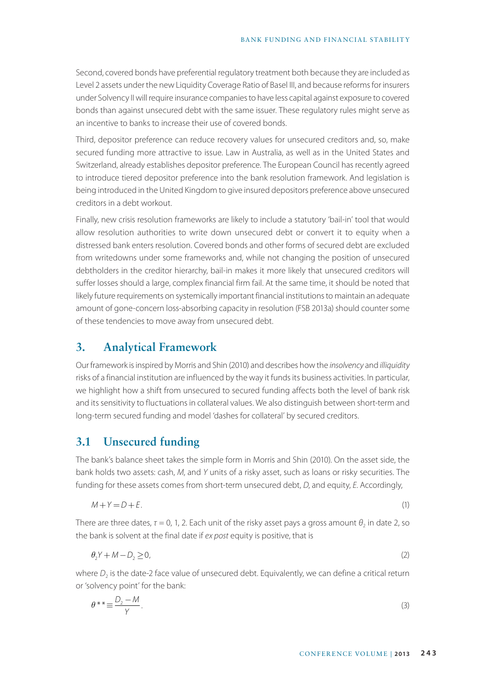Second, covered bonds have preferential regulatory treatment both because they are included as Level 2 assets under the new Liquidity Coverage Ratio of Basel III, and because reforms for insurers under Solvency II will require insurance companies to have less capital against exposure to covered bonds than against unsecured debt with the same issuer. These regulatory rules might serve as an incentive to banks to increase their use of covered bonds.

Third, depositor preference can reduce recovery values for unsecured creditors and, so, make secured funding more attractive to issue. Law in Australia, as well as in the United States and Switzerland, already establishes depositor preference. The European Council has recently agreed to introduce tiered depositor preference into the bank resolution framework. And legislation is being introduced in the United Kingdom to give insured depositors preference above unsecured creditors in a debt workout.

Finally, new crisis resolution frameworks are likely to include a statutory 'bail-in' tool that would allow resolution authorities to write down unsecured debt or convert it to equity when a distressed bank enters resolution. Covered bonds and other forms of secured debt are excluded from writedowns under some frameworks and, while not changing the position of unsecured debtholders in the creditor hierarchy, bail-in makes it more likely that unsecured creditors will suffer losses should a large, complex financial firm fail. At the same time, it should be noted that likely future requirements on systemically important financial institutions to maintain an adequate amount of gone-concern loss-absorbing capacity in resolution (FSB 2013a) should counter some of these tendencies to move away from unsecured debt.

# **3. Analytical Framework**

Our framework is inspired by Morris and Shin (2010) and describes how the *insolvency* and *illiquidity* risks of a financial institution are influenced by the way it funds its business activities. In particular, we highlight how a shift from unsecured to secured funding affects both the level of bank risk and its sensitivity to fluctuations in collateral values. We also distinguish between short-term and long-term secured funding and model 'dashes for collateral' by secured creditors.

### **3.1 Unsecured funding**

The bank's balance sheet takes the simple form in Morris and Shin (2010). On the asset side, the bank holds two assets: cash, *M*, and *Y* units of a risky asset, such as loans or risky securities. The funding for these assets comes from short-term unsecured debt, *D*, and equity, *E*. Accordingly,

$$
M + Y = D + E. \tag{1}
$$

There are three dates,  $\tau = 0$ , 1, 2. Each unit of the risky asset pays a gross amount  $\theta_2$  in date 2, so the bank is solvent at the final date if *ex post* equity is positive, that is

$$
\theta_2 Y + M - D_2 \ge 0,\tag{2}
$$

where  $D_2$  is the date-2 face value of unsecured debt. Equivalently, we can define a critical return or 'solvency point' for the bank:

$$
\theta^{**} \equiv \frac{D_2 - M}{Y}.
$$
\n(3)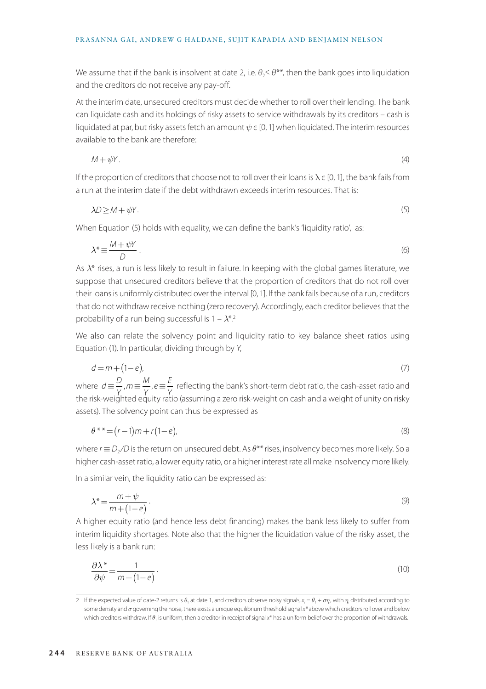We assume that if the bank is insolvent at date 2, i.e.  $\theta_2<\theta^{**}$ , then the bank goes into liquidation and the creditors do not receive any pay-off.

At the interim date, unsecured creditors must decide whether to roll over their lending. The bank can liquidate cash and its holdings of risky assets to service withdrawals by its creditors – cash is liquidated at par, but risky assets fetch an amount *ψ* є [0, 1] when liquidated. The interim resources available to the bank are therefore:

$$
M + \psi Y. \tag{4}
$$

If the proportion of creditors that choose not to roll over their loans is  $\lambda \in [0, 1]$ , the bank fails from a run at the interim date if the debt withdrawn exceeds interim resources. That is:

$$
\lambda \mathcal{D} \ge \mathcal{M} + \psi \mathcal{Y}. \tag{5}
$$

When Equation (5) holds with equality, we can define the bank's 'liquidity ratio', as:

$$
\lambda^* \equiv \frac{M + \psi Y}{D} \tag{6}
$$

As *λ*\* rises, a run is less likely to result in failure. In keeping with the global games literature, we suppose that unsecured creditors believe that the proportion of creditors that do not roll over their loans is uniformly distributed over the interval [0, 1]. If the bank fails because of a run, creditors that do not withdraw receive nothing (zero recovery). Accordingly, each creditor believes that the probability of a run being successful is 1 – *λ*\*.2

We also can relate the solvency point and liquidity ratio to key balance sheet ratios using Equation (1). In particular, dividing through by *Y*,

$$
d = m + (1 - e),\tag{7}
$$

where  $d \equiv \frac{D}{\gamma}$ ,  $m \equiv \frac{M}{\gamma}$ ,  $e \equiv \frac{E}{\gamma}$  reflecting the bank's short-term debt ratio, the cash-asset ratio and the risk-weighted equity ratio (assuming a zero risk-weight on cash and a weight of unity on risky assets). The solvency point can thus be expressed as

$$
\theta^{**} = (r-1)m + r(1-e),
$$
\n(8)

where *r* ≡ *D*<sup>2</sup> */D* is the return on unsecured debt. As *θ\*\** rises, insolvency becomes more likely. So a higher cash-asset ratio, a lower equity ratio, or a higher interest rate all make insolvency more likely.

In a similar vein, the liquidity ratio can be expressed as:

$$
\lambda^* = \frac{m + \psi}{m + (1 - e)}.
$$
\n(9)

A higher equity ratio (and hence less debt financing) makes the bank less likely to suffer from interim liquidity shortages. Note also that the higher the liquidation value of the risky asset, the less likely is a bank run:

$$
\frac{\partial \lambda^*}{\partial \psi} = \frac{1}{m + (1 - e)}.
$$
\n(10)

<sup>2</sup> If the expected value of date-2 returns is  $\theta_1$  at date 1, and creditors observe noisy signals,  $x_i = \theta_1 + \sigma \eta_i$ , with  $\eta_i$  distributed according to some density and *σ* governing the noise, there exists a unique equilibrium threshold signal *x\** above which creditors roll over and below which creditors withdraw. If *θ*<sub>1</sub> is uniform, then a creditor in receipt of signal *x*<sup>\*</sup> has a uniform belief over the proportion of withdrawals.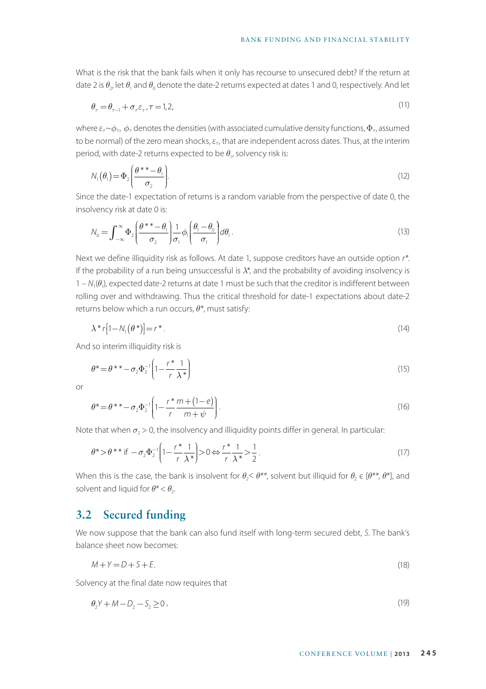What is the risk that the bank fails when it only has recourse to unsecured debt? If the return at date 2 is  $\theta_2$ , let  $\theta_1$  and  $\theta_0$  denote the date-2 returns expected at dates 1 and 0, respectively. And let

$$
\theta_{\tau} = \theta_{\tau-1} + \sigma_{\tau} \varepsilon_{\tau}, \tau = 1, 2,
$$
\n<sup>(11)</sup>

where  $\varepsilon_r \sim \phi_{\tau}$ ,  $\phi_{\tau}$  denotes the densities (with associated cumulative density functions,  $\Phi_{\tau}$ , assumed to be normal) of the zero mean shocks, *ετ*, that are independent across dates. Thus, at the interim period, with date-2 returns expected to be  $\theta_{1}$ , solvency risk is:

$$
N_1(\theta_1) = \Phi_2 \bigg( \frac{\theta^{*} - \theta_1}{\sigma_2} \bigg). \tag{12}
$$

Since the date-1 expectation of returns is a random variable from the perspective of date 0, the insolvency risk at date 0 is:

$$
N_0 = \int_{-\infty}^{\infty} \Phi_2 \left( \frac{\theta^{*} - \theta_1}{\sigma_2} \right) \frac{1}{\sigma_1} \phi_1 \left( \frac{\theta_1 - \theta_0}{\sigma_1} \right) d\theta_1. \tag{13}
$$

Next we define illiquidity risk as follows. At date 1, suppose creditors have an outside option *r\**. If the probability of a run being unsuccessful is *λ\**, and the probability of avoiding insolvency is 1 – *N*1(*θ*1), expected date-2 returns at date 1 must be such that the creditor is indifferent between rolling over and withdrawing. Thus the critical threshold for date-1 expectations about date-2 returns below which a run occurs, *θ*\*, must satisfy:

$$
\lambda^* r[1 - N_1(\theta^*)] = r^* \tag{14}
$$

And so interim illiquidity risk is

$$
\theta^* = \theta^{**} - \sigma_2 \Phi_2^{-1} \left( 1 - \frac{r^*}{r} \frac{1}{\lambda^*} \right) \tag{15}
$$

or

$$
\theta^* = \theta^{**} - \sigma_2 \Phi_2^{-1} \left( 1 - \frac{r^*}{r} \frac{m + (1 - e)}{m + \psi} \right). \tag{16}
$$

Note that when  $\sigma$ <sub>2</sub> > 0, the insolvency and illiquidity points differ in general. In particular:

$$
\theta^* > \theta^{**} \text{ if } -\sigma_2 \Phi_2^{-1} \left( 1 - \frac{r^*}{r} \frac{1}{\lambda^*} \right) > 0 \Leftrightarrow \frac{r^*}{r} \frac{1}{\lambda^*} > \frac{1}{2} \,. \tag{17}
$$

When this is the case, the bank is insolvent for  $\theta_2 < \theta^{**}$ , solvent but illiquid for  $\theta_2 \in [\theta^{**}, \theta^{*}]$ , and solvent and liquid for  $\theta^* < \theta_2$ .

# **3.2 Secured funding**

We now suppose that the bank can also fund itself with long-term secured debt, *S*. The bank's balance sheet now becomes:

$$
M + Y = D + S + E. \tag{18}
$$

Solvency at the final date now requires that

$$
\theta_2 Y + M - D_2 - S_2 \ge 0 \tag{19}
$$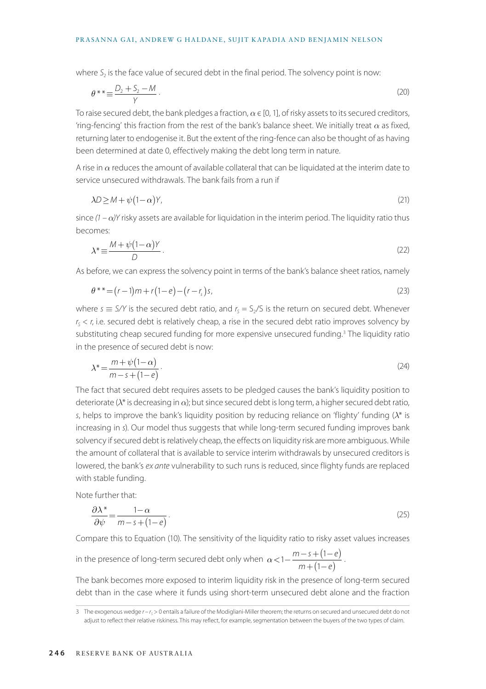where  $S<sub>2</sub>$  is the face value of secured debt in the final period. The solvency point is now:

$$
\theta^* \equiv \frac{D_2 + S_2 - M}{\gamma} \tag{20}
$$

To raise secured debt, the bank pledges a fraction,  $\alpha \in [0, 1]$ , of risky assets to its secured creditors, 'ring-fencing' this fraction from the rest of the bank's balance sheet. We initially treat  $\alpha$  as fixed, returning later to endogenise it. But the extent of the ring-fence can also be thought of as having been determined at date 0, effectively making the debt long term in nature.

A rise in *α* reduces the amount of available collateral that can be liquidated at the interim date to service unsecured withdrawals. The bank fails from a run if

$$
\lambda D \ge M + \psi (1 - \alpha) Y,\tag{21}
$$

since *(1 – α)Y* risky assets are available for liquidation in the interim period. The liquidity ratio thus becomes:

$$
\lambda^* \equiv \frac{M + \psi(1 - \alpha)Y}{D} \,. \tag{22}
$$

As before, we can express the solvency point in terms of the bank's balance sheet ratios, namely

$$
\theta^{**} = (r-1)m + r(1-e) - (r-rs)s,
$$
\n(23)

where  $s \equiv S/Y$  is the secured debt ratio, and  $r_s = S_2/S$  is the return on secured debt. Whenever  $r_s < r$ , i.e. secured debt is relatively cheap, a rise in the secured debt ratio improves solvency by substituting cheap secured funding for more expensive unsecured funding.<sup>3</sup> The liquidity ratio in the presence of secured debt is now:

$$
\lambda^* = \frac{m + \psi(1 - \alpha)}{m - s + (1 - e)}.
$$
\n(24)

The fact that secured debt requires assets to be pledged causes the bank's liquidity position to deteriorate (*λ*\* is decreasing in *α*); but since secured debt is long term, a higher secured debt ratio, *s*, helps to improve the bank's liquidity position by reducing reliance on 'flighty' funding (*λ*\* is increasing in *s*). Our model thus suggests that while long-term secured funding improves bank solvency if secured debt is relatively cheap, the effects on liquidity risk are more ambiguous. While the amount of collateral that is available to service interim withdrawals by unsecured creditors is lowered, the bank's *ex ante* vulnerability to such runs is reduced, since flighty funds are replaced with stable funding.

Note further that:

$$
\frac{\partial \lambda^*}{\partial \psi} = \frac{1 - \alpha}{m - s + (1 - e)}.
$$
\n(25)

Compare this to Equation (10). The sensitivity of the liquidity ratio to risky asset values increases

in the presence of long-term secured debt only when  $\alpha < 1 - \frac{m - s + (1 - e)}{m + (1 - e)}$ 1  $\frac{m - s + (1 - e)}{m + (1 - e)}$ .

The bank becomes more exposed to interim liquidity risk in the presence of long-term secured debt than in the case where it funds using short-term unsecured debt alone and the fraction

<sup>3</sup> The exogenous wedge  $r - r_s > 0$  entails a failure of the Modigliani-Miller theorem; the returns on secured and unsecured debt do not adjust to reflect their relative riskiness. This may reflect, for example, segmentation between the buyers of the two types of claim.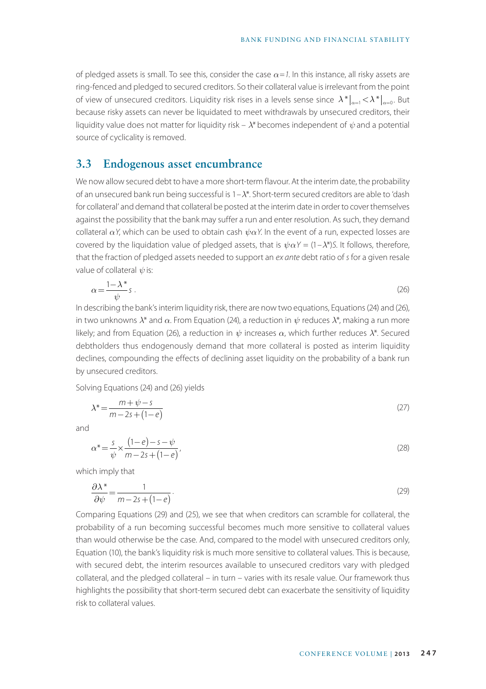of pledged assets is small. To see this, consider the case *α=1*. In this instance, all risky assets are ring-fenced and pledged to secured creditors. So their collateral value is irrelevant from the point of view of unsecured creditors. Liquidity risk rises in a levels sense since  $\lambda^*|_{a=1} < \lambda^*|_{a=0}$ . But because risky assets can never be liquidated to meet withdrawals by unsecured creditors, their liquidity value does not matter for liquidity risk –  $\lambda^*$  becomes independent of  $\psi$  and a potential source of cyclicality is removed.

# **3.3 Endogenous asset encumbrance**

We now allow secured debt to have a more short-term flavour. At the interim date, the probability of an unsecured bank run being successful is 1–*λ*\*. Short-term secured creditors are able to 'dash for collateral' and demand that collateral be posted at the interim date in order to cover themselves against the possibility that the bank may suffer a run and enter resolution. As such, they demand collateral *αY*, which can be used to obtain cash *ψαY*. In the event of a run, expected losses are covered by the liquidation value of pledged assets, that is  $\psi \alpha Y = (1 - \lambda^*)S$ . It follows, therefore, that the fraction of pledged assets needed to support an *ex ante* debt ratio of *s* for a given resale value of collateral  $\psi$  is:

$$
\alpha = \frac{1 - \lambda^*}{\psi} s \tag{26}
$$

In describing the bank's interim liquidity risk, there are now two equations, Equations (24) and (26), in two unknowns *λ*\* and *α*. From Equation (24), a reduction in *ψ* reduces *λ*\*, making a run more likely; and from Equation (26), a reduction in *ψ* increases *α*, which further reduces *λ*\*. Secured debtholders thus endogenously demand that more collateral is posted as interim liquidity declines, compounding the effects of declining asset liquidity on the probability of a bank run by unsecured creditors.

Solving Equations (24) and (26) yields

$$
\lambda^* = \frac{m + \psi - s}{m - 2s + (1 - e)}\tag{27}
$$

and

$$
\alpha^* = \frac{s}{\psi} \times \frac{(1-e)-s-\psi}{m-2s+(1-e)},
$$
\n(28)

which imply that

$$
\frac{\partial \lambda^*}{\partial \psi} = \frac{1}{m - 2s + (1 - e)}.
$$
\n(29)

Comparing Equations (29) and (25), we see that when creditors can scramble for collateral, the probability of a run becoming successful becomes much more sensitive to collateral values than would otherwise be the case. And, compared to the model with unsecured creditors only, Equation (10), the bank's liquidity risk is much more sensitive to collateral values. This is because, with secured debt, the interim resources available to unsecured creditors vary with pledged collateral, and the pledged collateral – in turn – varies with its resale value. Our framework thus highlights the possibility that short-term secured debt can exacerbate the sensitivity of liquidity risk to collateral values.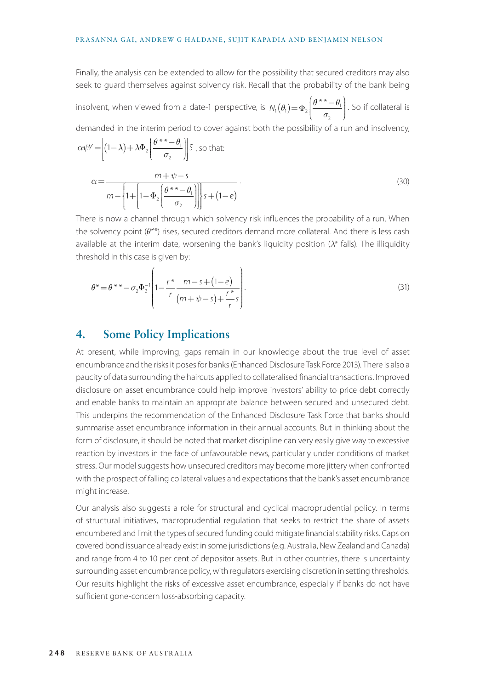Finally, the analysis can be extended to allow for the possibility that secured creditors may also seek to guard themselves against solvency risk. Recall that the probability of the bank being

insolvent, when viewed from a date-1 perspective, is  $N_1(\theta_1) = \Phi_2 \begin{bmatrix} 0 & 0 \\ 0 & 1 \end{bmatrix}$ 2  $(\theta_1) = \Phi_2 \left( \frac{\theta^{*}-\theta}{\sigma_2} \right)$  $\overline{\phantom{a}}$  $\mathcal{I}$ J  $\Phi_2\left[\frac{\theta^{**}-\theta_1}{\sigma_2}\right]$ . So if collateral is demanded in the interim period to cover against both the possibility of a run and insolvency,

$$
\alpha \psi Y = \left| (1 - \lambda) + \lambda \Phi_2 \left( \frac{\theta^{*} - \theta_1}{\sigma_2} \right) \right| S \text{ , so that: }
$$

$$
\alpha = \frac{m + \psi - s}{m - \left\{ 1 + \left[ 1 - \Phi_2 \left( \frac{\theta^{*} - \theta_1}{\sigma_2} \right) \right] \right\} s + (1 - e)}.
$$
(30)

There is now a channel through which solvency risk influences the probability of a run. When the solvency point (*θ\*\**) rises, secured creditors demand more collateral. And there is less cash available at the interim date, worsening the bank's liquidity position (*λ\** falls). The illiquidity threshold in this case is given by:

$$
\theta^* = \theta^{**} - \sigma_2 \Phi_2^{-1} \left( 1 - \frac{r^*}{r} \frac{m - s + (1 - e)}{(m + \psi - s) + \frac{r^*}{r} s} \right).
$$
\n(31)

### **4. Some Policy Implications**

At present, while improving, gaps remain in our knowledge about the true level of asset encumbrance and the risks it poses for banks (Enhanced Disclosure Task Force 2013). There is also a paucity of data surrounding the haircuts applied to collateralised financial transactions. Improved disclosure on asset encumbrance could help improve investors' ability to price debt correctly and enable banks to maintain an appropriate balance between secured and unsecured debt. This underpins the recommendation of the Enhanced Disclosure Task Force that banks should summarise asset encumbrance information in their annual accounts. But in thinking about the form of disclosure, it should be noted that market discipline can very easily give way to excessive reaction by investors in the face of unfavourable news, particularly under conditions of market stress. Our model suggests how unsecured creditors may become more jittery when confronted with the prospect of falling collateral values and expectations that the bank's asset encumbrance might increase.

Our analysis also suggests a role for structural and cyclical macroprudential policy. In terms of structural initiatives, macroprudential regulation that seeks to restrict the share of assets encumbered and limit the types of secured funding could mitigate financial stability risks. Caps on covered bond issuance already exist in some jurisdictions (e.g. Australia, New Zealand and Canada) and range from 4 to 10 per cent of depositor assets. But in other countries, there is uncertainty surrounding asset encumbrance policy, with regulators exercising discretion in setting thresholds. Our results highlight the risks of excessive asset encumbrance, especially if banks do not have sufficient gone-concern loss-absorbing capacity.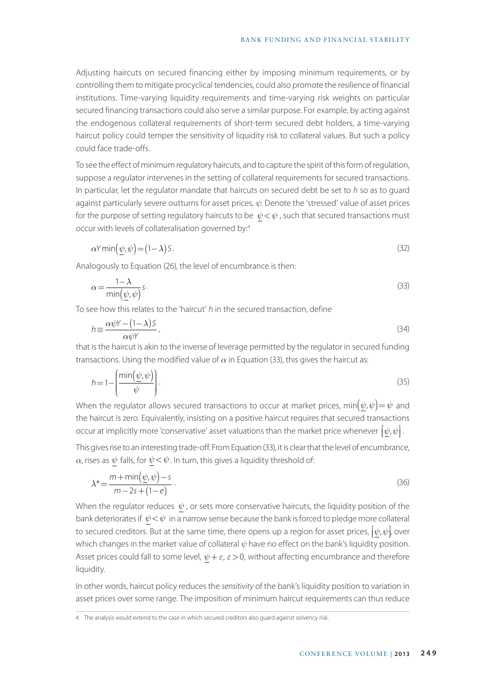Adjusting haircuts on secured financing either by imposing minimum requirements, or by controlling them to mitigate procyclical tendencies, could also promote the resilience of financial institutions. Time-varying liquidity requirements and time-varying risk weights on particular secured financing transactions could also serve a similar purpose. For example, by acting against the endogenous collateral requirements of short-term secured debt holders, a time-varying haircut policy could temper the sensitivity of liquidity risk to collateral values. But such a policy could face trade-offs.

To see the effect of minimum regulatory haircuts, and to capture the spirit of this form of regulation, suppose a regulator intervenes in the setting of collateral requirements for secured transactions. In particular, let the regulator mandate that haircuts on secured debt be set to *h* so as to guard against particularly severe outturns for asset prices, *ψ*. Denote the 'stressed' value of asset prices for the purpose of setting regulatory haircuts to be  $\psi < \psi$ , such that secured transactions must occur with levels of collateralisation governed by:4

$$
\alpha Y \min(\psi, \psi) = (1 - \lambda) S. \tag{32}
$$

Analogously to Equation (26), the level of encumbrance is then:

$$
\alpha = \frac{1 - \lambda}{\min(\psi, \psi)} s. \tag{33}
$$

To see how this relates to the 'haircut' *h* in the secured transaction, define

$$
h \equiv \frac{\alpha \psi Y - (1 - \lambda) S}{\alpha \psi Y},
$$
\n(34)

that is the haircut is akin to the inverse of leverage permitted by the regulator in secured funding transactions. Using the modified value of  $\alpha$  in Equation (33), this gives the haircut as:

$$
h = 1 - \left(\frac{\min(\underline{\psi}, \psi)}{\psi}\right). \tag{35}
$$

When the regulator allows secured transactions to occur at market prices, min $(\psi, \psi) = \psi$  and the haircut is zero. Equivalently, insisting on a positive haircut requires that secured transactions occur at implicitly more 'conservative' asset valuations than the market price whenever  $\big[\underline{\psi},\psi\big]$  . Į ļ

This gives rise to an interesting trade-off. From Equation (33), it is clear that the level of encumbrance,  $\alpha$ , rises as  $\psi$  falls, for  $\psi \langle \psi \rangle$ . In turn, this gives a liquidity threshold of:

$$
\lambda^* = \frac{m + \min(\psi, \psi) - s}{m - 2s + (1 - e)}.
$$
\n(36)

When the regulator reduces  $\psi$ , or sets more conservative haircuts, the liquidity position of the bank deteriorates if  $\psi \! < \! \psi$  in a narrow sense because the bank is forced to pledge more collateral to secured creditors. But at the same time, there opens up a region for asset prices,  $[\psi,\psi]$ , over  $\overline{\phantom{a}}$ ļ which changes in the market value of collateral *ψ* have no effect on the bank's liquidity position. Asset prices could fall to some level,  $\psi + \varepsilon$ ,  $\varepsilon > 0$ , without affecting encumbrance and therefore liquidity.

In other words, haircut policy reduces the *sensitivity* of the bank's liquidity position to variation in asset prices over some range. The imposition of minimum haircut requirements can thus reduce

<sup>4</sup> The analysis would extend to the case in which secured creditors also guard against solvency risk.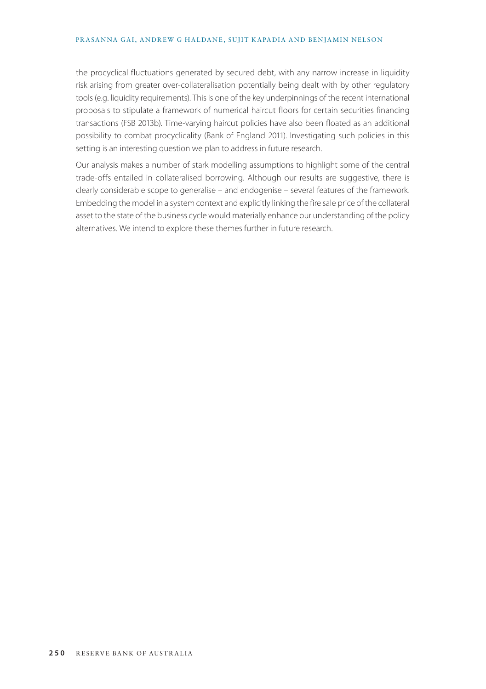the procyclical fluctuations generated by secured debt, with any narrow increase in liquidity risk arising from greater over-collateralisation potentially being dealt with by other regulatory tools (e.g. liquidity requirements). This is one of the key underpinnings of the recent international proposals to stipulate a framework of numerical haircut floors for certain securities financing transactions (FSB 2013b). Time-varying haircut policies have also been floated as an additional possibility to combat procyclicality (Bank of England 2011). Investigating such policies in this setting is an interesting question we plan to address in future research.

Our analysis makes a number of stark modelling assumptions to highlight some of the central trade-offs entailed in collateralised borrowing. Although our results are suggestive, there is clearly considerable scope to generalise – and endogenise – several features of the framework. Embedding the model in a system context and explicitly linking the fire sale price of the collateral asset to the state of the business cycle would materially enhance our understanding of the policy alternatives. We intend to explore these themes further in future research.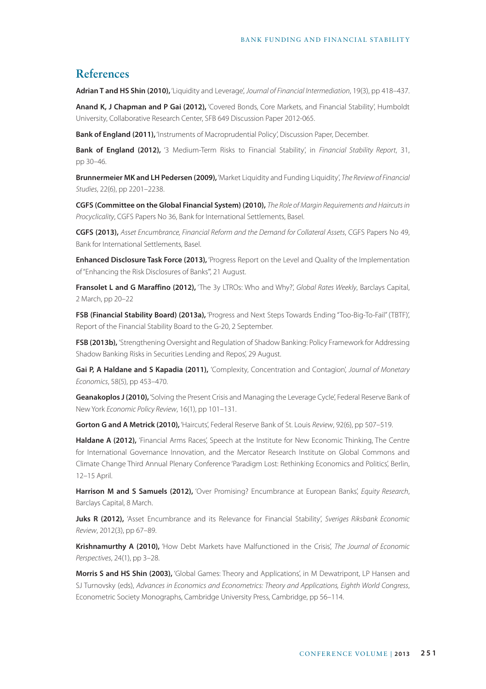### **References**

**Adrian T and HS Shin (2010),** 'Liquidity and Leverage', *Journal of Financial Intermediation*, 19(3), pp 418–437.

**Anand K, J Chapman and P Gai (2012),** 'Covered Bonds, Core Markets, and Financial Stability', Humboldt University, Collaborative Research Center, SFB 649 Discussion Paper 2012-065.

**Bank of England (2011),** 'Instruments of Macroprudential Policy', Discussion Paper, December.

**Bank of England (2012),** '3 Medium-Term Risks to Financial Stability', in *Financial Stability Report*, 31, pp 30–46.

**Brunnermeier MK and LH Pedersen (2009),** 'Market Liquidity and Funding Liquidity', *The Review of Financial Studies*, 22(6), pp 2201–2238.

**CGFS (Committee on the Global Financial System) (2010),** *The Role of Margin Requirements and Haircuts in Procyclicality*, CGFS Papers No 36, Bank for International Settlements, Basel.

**CGFS (2013),** *As*s*et Encumbrance, Financial Reform and the Demand for Collateral Assets*, CGFS Papers No 49, Bank for International Settlements, Basel.

**Enhanced Disclosure Task Force (2013),** 'Progress Report on the Level and Quality of the Implementation of "Enhancing the Risk Disclosures of Banks"', 21 August.

**Fransolet L and G Maraffino (2012),** 'The 3y LTROs: Who and Why?', *Global Rates Weekly*, Barclays Capital, 2 March, pp 20–22

**FSB (Financial Stability Board) (2013a),** 'Progress and Next Steps Towards Ending "Too-Big-To-Fail" (TBTF)', Report of the Financial Stability Board to the G-20, 2 September.

**FSB (2013b),** 'Strengthening Oversight and Regulation of Shadow Banking: Policy Framework for Addressing Shadow Banking Risks in Securities Lending and Repos', 29 August.

**Gai P, A Haldane and S Kapadia (2011),** 'Complexity, Concentration and Contagion', *Journal of Monetary Economics*, 58(5), pp 453–470.

**Geanakoplos J (2010),** 'Solving the Present Crisis and Managing the Leverage Cycle', Federal Reserve Bank of New York *Economic Policy Review*, 16(1), pp 101–131.

**Gorton G and A Metrick (2010),** 'Haircuts', Federal Reserve Bank of St. Louis *Review*, 92(6), pp 507–519.

**Haldane A (2012),** 'Financial Arms Races', Speech at the Institute for New Economic Thinking, The Centre for International Governance Innovation, and the Mercator Research Institute on Global Commons and Climate Change Third Annual Plenary Conference 'Paradigm Lost: Rethinking Economics and Politics', Berlin, 12–15 April.

**Harrison M and S Samuels (2012),** 'Over Promising? Encumbrance at European Banks', *Equity Research*, Barclays Capital, 8 March.

**Juks R (2012),** 'Asset Encumbrance and its Relevance for Financial Stability', *Sveriges Riksbank Economic Review*, 2012(3), pp 67–89.

**Krishnamurthy A (2010),** 'How Debt Markets have Malfunctioned in the Crisis', *The Journal of Economic Perspectives*, 24(1), pp 3–28.

**Morris S and HS Shin (2003),** 'Global Games: Theory and Applications', in M Dewatripont, LP Hansen and SJ Turnovsky (eds), *Advances in Economics and Econometrics: Theory and Applications, Eighth World Congress*, Econometric Society Monographs, Cambridge University Press, Cambridge, pp 56–114.